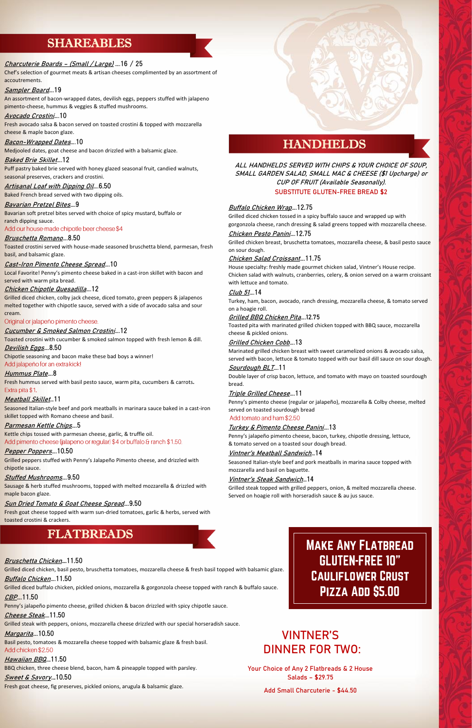## SHAREABLES

## **Charcuterie Boards – (Small / Large) ….**16 / 25

Chef's selection of gourmet meats & artisan cheeses complimented by an assortment of accoutrements.

### **Sampler Board….**19

An assortment of bacon-wrapped dates, devilish eggs, peppers stuffed with jalapeno pimento-cheese, hummus & veggies & stuffed mushrooms.

### **Avocado Crostini….**10

Puff pastry baked brie served with honey glazed seasonal fruit, candied walnuts, seasonal preserves, crackers and crostini.

Fresh avocado salsa & bacon served on toasted crostini & topped with mozzarella cheese & maple bacon glaze.

**Bacon-Wrapped Dates….**10

Medjooled dates, goat cheese and bacon drizzled with a balsamic glaze.

Local Favorite! Penny's pimento cheese baked in a cast-iron skillet with bacon and served with warm pita bread.

### **Baked Brie Skillet….**12

**Artisanal Loaf with Dipping Oil….**6.50

Baked French bread served with two dipping oils.

Chipotle seasoning and bacon make these bad boys a winner! Add jalapeño for an extra kick!

Fresh hummus served with basil pesto sauce, warm pita, cucumbers & carrots**.**  Extra pita \$1.

**Bavarian Pretzel Bites….**9 Bavarian soft pretzel bites served with choice of spicy mustard, buffalo or ranch dipping sauce.

Add our house-made chipotle beer cheese \$4

## **Bruschetta Romano….**8.50

Kettle chips tossed with parmesan cheese, garlic, & truffle oil. Add pimento cheese (jalapeno or regular) \$4 or buffalo & ranch \$1.50.

Toasted crostini served with house-made seasoned bruschetta blend, parmesan, fresh basil, and balsamic glaze.

## **Cast-Iron Pimento Cheese Spread….**10

## **Chicken Chipotle Quesadilla….**12

Grilled diced chicken, colby jack cheese, diced tomato, green peppers & jalapenos melted together with chipotle sauce, served with a side of avocado salsa and sour cream.

## Original or jalapeño pimento cheese.

## **Cucumber & Smoked Salmon Crostini….**12

Toasted crostini with cucumber & smoked salmon topped with fresh lemon & dill. **Devilish Eggs….**8.50

## **Hummus Plate….**8

## **Meatball Skillet…**11

Seasoned Italian-style beef and pork meatballs in marinara sauce baked in a cast-iron skillet topped with Romano cheese and basil.

## **Parmesan Kettle Chips….**5

## **Pepper Poppers….**10.50

Grilled peppers stuffed with Penny's Jalapeño Pimento cheese, and drizzled with chipotle sauce.

## **Stuffed Mushrooms….**9.50

Sausage & herb stuffed mushrooms, topped with melted mozzarella & drizzled with maple bacon glaze.

## **Sun Dried Tomato & Goat Cheese Spread….**9.50

Fresh goat cheese topped with warm sun-dried tomatoes, garlic & herbs, served with toasted crostini & crackers.

## FLATBREADS

## **HANDHELDS**

Basil pesto, tomatoes & mozzarella cheese topped with balsamic glaze & fresh basil. Add chicken \$2.50

**ALL HANDHELDS SERVED WITH CHIPS & YOUR CHOICE OF SOUP, SMALL GARDEN SALAD, SMALL MAC & CHEESE (\$1 Upcharge) or CUP OF FRUIT (Available Seasonally). SUBSTITUTE GLUTEN-FREE BREAD \$2**

## **Buffalo Chicken Wrap….**12.75

Grilled diced chicken tossed in a spicy buffalo sauce and wrapped up with gorgonzola cheese, ranch dressing & salad greens topped with mozzarella cheese.

**Chicken Pesto Panini….**12.75

Grilled chicken breast, bruschetta tomatoes, mozzarella cheese, & basil pesto sauce on sour dough.

## **Chicken Salad Croissant….**11.75

House specialty: freshly made gourmet chicken salad, Vintner's House recipe. Chicken salad with walnuts, cranberries, celery, & onion served on a warm croissant with lettuce and tomato.

## **Club 51….**14

Turkey, ham, bacon, avocado, ranch dressing, mozzarella cheese, & tomato served on a hoagie roll.

## **Grilled BBQ Chicken Pita….**12.75

Toasted pita with marinated grilled chicken topped with BBQ sauce, mozzarella cheese & pickled onions.

## **Grilled Chicken Cobb….**13

Marinated grilled chicken breast with sweet caramelized onions & avocado salsa, served with bacon, lettuce & tomato topped with our basil dill sauce on sour dough. **Sourdough BLT….**11

Double layer of crisp bacon, lettuce, and tomato with mayo on toasted sourdough bread.

## **Triple Grilled Cheese….**11

Penny's pimento cheese (regular or jalapeño), mozzarella & Colby cheese, melted served on toasted sourdough bread

## Add tomato and ham \$2.50

### **Turkey & Pimento Cheese Panini….**13

Penny's jalapeño pimento cheese, bacon, turkey, chipotle dressing, lettuce, & tomato served on a toasted sour dough bread.

## **Vintner's Meatball Sandwich…**14

Seasoned Italian-style beef and pork meatballs in marina sauce topped with mozzarella and basil on baguette.

### **Vintner's Steak Sandwich…**14

Grilled steak topped with grilled peppers, onion, & melted mozzarella cheese. Served on hoagie roll with horseradish sauce & au jus sauce.

## **Bruschetta Chicken….**11.50

Grilled diced chicken, basil pesto, bruschetta tomatoes, mozzarella cheese & fresh basil topped with balsamic glaze.

### **Buffalo Chicken….**11.50

Grilled diced buffalo chicken, pickled onions, mozzarella & gorgonzola cheese topped with ranch & buffalo sauce.

## **CBP….**11.50

Penny's jalapeño pimento cheese, grilled chicken & bacon drizzled with spicy chipotle sauce.

## **Cheese Steak….**11.50

Grilled steak with peppers, onions, mozzarella cheese drizzled with our special horseradish sauce.

## **Margarita….**10.50

## **Hawaiian BBQ….**11.50

BBQ chicken, three cheese blend, bacon, ham & pineapple topped with parsley.

## **Sweet & Savory….**10.50

Fresh goat cheese, fig preserves, pickled onions, arugula & balsamic glaze.

## **MAKE ANY FLATBREAD GLUTEN-FREE 10" CAULIFLOWER CRUST** PIZZA ADD \$5.00

## **VINTNER'S DINNER FOR TWO:**

**Your Choice of Any 2 Flatbreads & 2 House Salads – \$29.75**

## **Add Small Charcuterie - \$44.50**